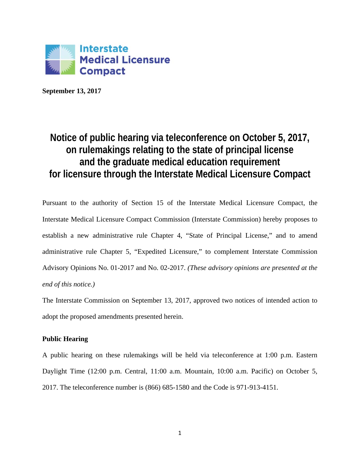

**September 13, 2017** 

# **Notice of public hearing via teleconference on October 5, 2017, on rulemakings relating to the state of principal license and the graduate medical education requirement for licensure through the Interstate Medical Licensure Compact**

Pursuant to the authority of Section 15 of the Interstate Medical Licensure Compact, the Interstate Medical Licensure Compact Commission (Interstate Commission) hereby proposes to establish a new administrative rule Chapter 4, "State of Principal License," and to amend administrative rule Chapter 5, "Expedited Licensure," to complement Interstate Commission Advisory Opinions No. 01-2017 and No. 02-2017. *(These advisory opinions are presented at the end of this notice.)*

The Interstate Commission on September 13, 2017, approved two notices of intended action to adopt the proposed amendments presented herein.

## **Public Hearing**

A public hearing on these rulemakings will be held via teleconference at 1:00 p.m. Eastern Daylight Time (12:00 p.m. Central, 11:00 a.m. Mountain, 10:00 a.m. Pacific) on October 5, 2017. The teleconference number is (866) 685-1580 and the Code is 971-913-4151.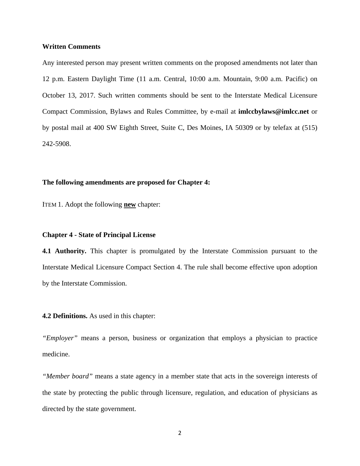#### **Written Comments**

Any interested person may present written comments on the proposed amendments not later than 12 p.m. Eastern Daylight Time (11 a.m. Central, 10:00 a.m. Mountain, 9:00 a.m. Pacific) on October 13, 2017. Such written comments should be sent to the Interstate Medical Licensure Compact Commission, Bylaws and Rules Committee, by e-mail at **imlccbylaws@imlcc.net** or by postal mail at 400 SW Eighth Street, Suite C, Des Moines, IA 50309 or by telefax at (515) 242-5908.

#### **The following amendments are proposed for Chapter 4:**

ITEM 1. Adopt the following **new** chapter:

#### **Chapter 4 - State of Principal License**

**4.1 Authority.** This chapter is promulgated by the Interstate Commission pursuant to the Interstate Medical Licensure Compact Section 4. The rule shall become effective upon adoption by the Interstate Commission.

**4.2 Definitions.** As used in this chapter:

*"Employer"* means a person, business or organization that employs a physician to practice medicine.

*"Member board"* means a state agency in a member state that acts in the sovereign interests of the state by protecting the public through licensure, regulation, and education of physicians as directed by the state government.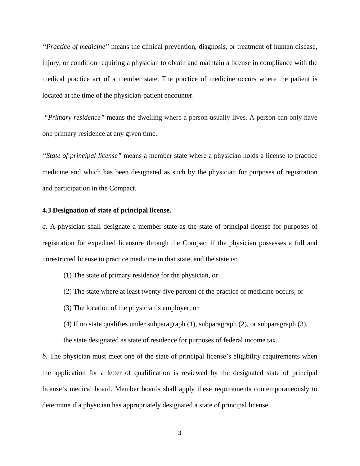*"Practice of medicine"* means the clinical prevention, diagnosis, or treatment of human disease, injury, or condition requiring a physician to obtain and maintain a license in compliance with the medical practice act of a member state. The practice of medicine occurs where the patient is located at the time of the physician-patient encounter.

*"Primary residence"* means the dwelling where a person usually lives. A person can only have one primary residence at any given time.

*"State of principal license"* means a member state where a physician holds a license to practice medicine and which has been designated as such by the physician for purposes of registration and participation in the Compact.

#### **4.3 Designation of state of principal license.**

*a.* A physician shall designate a member state as the state of principal license for purposes of registration for expedited licensure through the Compact if the physician possesses a full and unrestricted license to practice medicine in that state, and the state is:

- (1) The state of primary residence for the physician, or
- (2) The state where at least twenty-five percent of the practice of medicine occurs, or
- (3) The location of the physician's employer, or
- (4) If no state qualifies under subparagraph (1), subparagraph (2), or subparagraph (3),

the state designated as state of residence for purposes of federal income tax.

*b.* The physician must meet one of the state of principal license's eligibility requirements when the application for a letter of qualification is reviewed by the designated state of principal license's medical board. Member boards shall apply these requirements contemporaneously to determine if a physician has appropriately designated a state of principal license.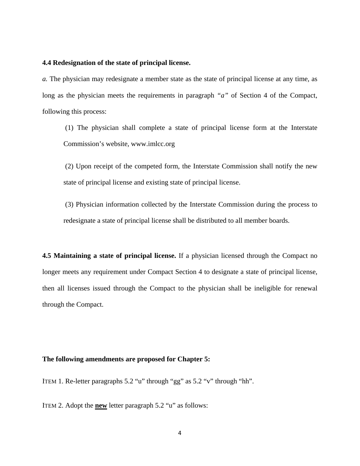#### **4.4 Redesignation of the state of principal license.**

*a.* The physician may redesignate a member state as the state of principal license at any time, as long as the physician meets the requirements in paragraph "a" of Section 4 of the Compact, following this process:

(1) The physician shall complete a state of principal license form at the Interstate Commission's website, www.imlcc.org

 (2) Upon receipt of the competed form, the Interstate Commission shall notify the new state of principal license and existing state of principal license.

 (3) Physician information collected by the Interstate Commission during the process to redesignate a state of principal license shall be distributed to all member boards.

**4.5 Maintaining a state of principal license.** If a physician licensed through the Compact no longer meets any requirement under Compact Section 4 to designate a state of principal license, then all licenses issued through the Compact to the physician shall be ineligible for renewal through the Compact.

#### **The following amendments are proposed for Chapter 5:**

ITEM 1. Re-letter paragraphs 5.2 "u" through "gg" as 5.2 "v" through "hh".

ITEM 2. Adopt the **new** letter paragraph 5.2 "u" as follows: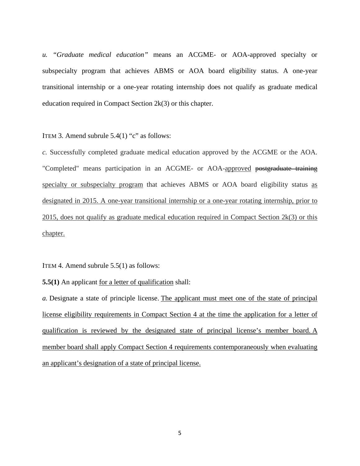*u. "Graduate medical education"* means an ACGME- or AOA-approved specialty or subspecialty program that achieves ABMS or AOA board eligibility status. A one-year transitional internship or a one-year rotating internship does not qualify as graduate medical education required in Compact Section 2k(3) or this chapter.

ITEM 3. Amend subrule 5.4(1) "c" as follows:

*c.* Successfully completed graduate medical education approved by the ACGME or the AOA. "Completed" means participation in an ACGME- or AOA-approved postgraduate training specialty or subspecialty program that achieves ABMS or AOA board eligibility status as designated in 2015. A one-year transitional internship or a one-year rotating internship, prior to 2015, does not qualify as graduate medical education required in Compact Section 2k(3) or this chapter.

ITEM 4. Amend subrule 5.5(1) as follows:

**5.5(1)** An applicant for a letter of qualification shall:

*a.* Designate a state of principle license. The applicant must meet one of the state of principal license eligibility requirements in Compact Section 4 at the time the application for a letter of qualification is reviewed by the designated state of principal license's member board. A member board shall apply Compact Section 4 requirements contemporaneously when evaluating an applicant's designation of a state of principal license.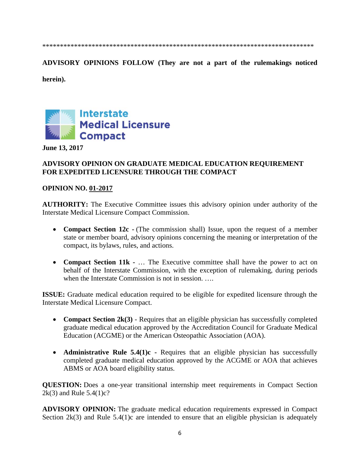\*\*\*\*\*\*\*\*\*\*\*\*\*\*\*\*\*\*\*\*\*\*\*\*\*\*\*\*\*\*\*\*\*\*\*\*\*\*\*\*\*\*\*\*\*\*\*\*\*\*\*\*\*\*\*\*\*\*\*\*\*\*\*\*\*\*\*\*\*\*\*\*\*\*\*\*\*

**ADVISORY OPINIONS FOLLOW (They are not a part of the rulemakings noticed** 

**herein).** 



**June 13, 2017** 

# **ADVISORY OPINION ON GRADUATE MEDICAL EDUCATION REQUIREMENT FOR EXPEDITED LICENSURE THROUGH THE COMPACT**

### **OPINION NO. 01-2017**

**AUTHORITY:** The Executive Committee issues this advisory opinion under authority of the Interstate Medical Licensure Compact Commission.

- **Compact Section 12c -** (The commission shall) Issue, upon the request of a member state or member board, advisory opinions concerning the meaning or interpretation of the compact, its bylaws, rules, and actions.
- **Compact Section 11k** … The Executive committee shall have the power to act on behalf of the Interstate Commission, with the exception of rulemaking, during periods when the Interstate Commission is not in session. ....

**ISSUE:** Graduate medical education required to be eligible for expedited licensure through the Interstate Medical Licensure Compact.

- **Compact Section 2k(3)** Requires that an eligible physician has successfully completed graduate medical education approved by the Accreditation Council for Graduate Medical Education (ACGME) or the American Osteopathic Association (AOA).
- **Administrative Rule 5.4(1)c** Requires that an eligible physician has successfully completed graduate medical education approved by the ACGME or AOA that achieves ABMS or AOA board eligibility status.

**QUESTION:** Does a one-year transitional internship meet requirements in Compact Section  $2k(3)$  and Rule 5.4(1)c?

**ADVISORY OPINION:** The graduate medical education requirements expressed in Compact Section  $2k(3)$  and Rule 5.4(1)c are intended to ensure that an eligible physician is adequately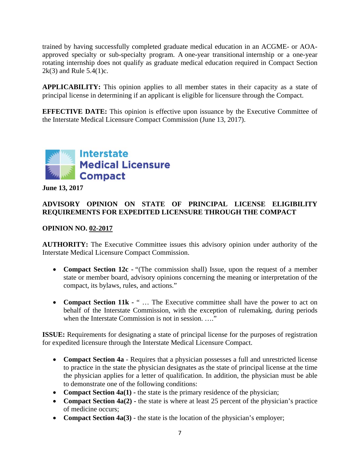trained by having successfully completed graduate medical education in an ACGME- or AOAapproved specialty or sub-specialty program. A one-year transitional internship or a one-year rotating internship does not qualify as graduate medical education required in Compact Section  $2k(3)$  and Rule 5.4(1)c.

**APPLICABILITY:** This opinion applies to all member states in their capacity as a state of principal license in determining if an applicant is eligible for licensure through the Compact.

**EFFECTIVE DATE:** This opinion is effective upon issuance by the Executive Committee of the Interstate Medical Licensure Compact Commission (June 13, 2017).



**June 13, 2017** 

# **ADVISORY OPINION ON STATE OF PRINCIPAL LICENSE ELIGIBILITY REQUIREMENTS FOR EXPEDITED LICENSURE THROUGH THE COMPACT**

## **OPINION NO. 02-2017**

**AUTHORITY:** The Executive Committee issues this advisory opinion under authority of the Interstate Medical Licensure Compact Commission.

- **Compact Section 12c** "(The commission shall) Issue, upon the request of a member state or member board, advisory opinions concerning the meaning or interpretation of the compact, its bylaws, rules, and actions."
- **Compact Section 11k "** ... The Executive committee shall have the power to act on behalf of the Interstate Commission, with the exception of rulemaking, during periods when the Interstate Commission is not in session....."

**ISSUE:** Requirements for designating a state of principal license for the purposes of registration for expedited licensure through the Interstate Medical Licensure Compact.

- **Compact Section 4a** Requires that a physician possesses a full and unrestricted license to practice in the state the physician designates as the state of principal license at the time the physician applies for a letter of qualification. In addition, the physician must be able to demonstrate one of the following conditions:
- **Compact Section 4a(1)** the state is the primary residence of the physician;
- Compact Section 4a(2) the state is where at least 25 percent of the physician's practice of medicine occurs;
- Compact Section 4a(3) the state is the location of the physician's employer;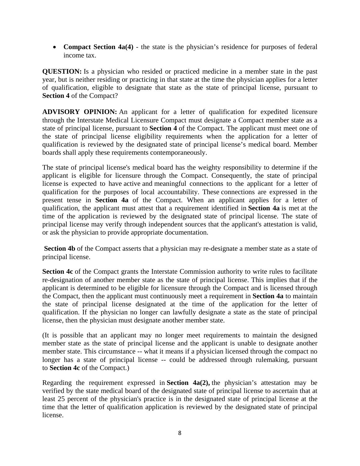• **Compact Section 4a(4)** - the state is the physician's residence for purposes of federal income tax.

**QUESTION:** Is a physician who resided or practiced medicine in a member state in the past year, but is neither residing or practicing in that state at the time the physician applies for a letter of qualification, eligible to designate that state as the state of principal license, pursuant to **Section 4** of the Compact?

**ADVISORY OPINION:** An applicant for a letter of qualification for expedited licensure through the Interstate Medical Licensure Compact must designate a Compact member state as a state of principal license, pursuant to **Section 4** of the Compact. The applicant must meet one of the state of principal license eligibility requirements when the application for a letter of qualification is reviewed by the designated state of principal license's medical board. Member boards shall apply these requirements contemporaneously.

The state of principal license's medical board has the weighty responsibility to determine if the applicant is eligible for licensure through the Compact. Consequently, the state of principal license is expected to have active and meaningful connections to the applicant for a letter of qualification for the purposes of local accountability. These connections are expressed in the present tense in **Section 4a** of the Compact. When an applicant applies for a letter of qualification, the applicant must attest that a requirement identified in **Section 4a** is met at the time of the application is reviewed by the designated state of principal license. The state of principal license may verify through independent sources that the applicant's attestation is valid, or ask the physician to provide appropriate documentation.

**Section 4b** of the Compact asserts that a physician may re-designate a member state as a state of principal license.

**Section 4c** of the Compact grants the Interstate Commission authority to write rules to facilitate re-designation of another member state as the state of principal license. This implies that if the applicant is determined to be eligible for licensure through the Compact and is licensed through the Compact, then the applicant must continuously meet a requirement in **Section 4a** to maintain the state of principal license designated at the time of the application for the letter of qualification. If the physician no longer can lawfully designate a state as the state of principal license, then the physician must designate another member state.

(It is possible that an applicant may no longer meet requirements to maintain the designed member state as the state of principal license and the applicant is unable to designate another member state. This circumstance -- what it means if a physician licensed through the compact no longer has a state of principal license -- could be addressed through rulemaking, pursuant to **Section 4c** of the Compact.)

Regarding the requirement expressed in **Section 4a(2),** the physician's attestation may be verified by the state medical board of the designated state of principal license to ascertain that at least 25 percent of the physician's practice is in the designated state of principal license at the time that the letter of qualification application is reviewed by the designated state of principal license.